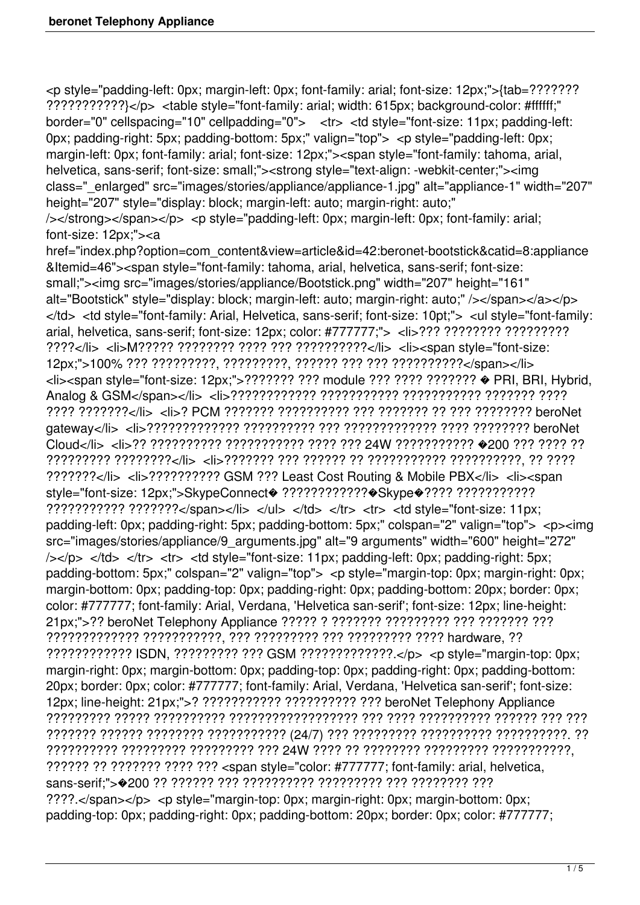<p style="padding-left: 0px; margin-left: 0px; font-family: arial; font-size: 12px;">{tab=??????? ???????????}</p> <table style="font-family: arial; width: 615px; background-color: #ffffff;" border="0" cellspacing="10" cellpadding="0"> <tr> <td style="font-size: 11px; padding-left: 0px; padding-right: 5px; padding-bottom: 5px;" valign="top"> <p style="padding-left: 0px; margin-left: 0px; font-family: arial; font-size: 12px;"><span style="font-family: tahoma, arial, helvetica, sans-serif; font-size: small;"><strong style="text-align: -webkit-center;"><img class="\_enlarged" src="images/stories/appliance/appliance-1.jpg" alt="appliance-1" width="207" height="207" style="display: block; margin-left: auto; margin-right: auto;" /></strong></span></p> <p style="padding-left: 0px; margin-left: 0px; font-family: arial; font-size: 12px;"><a href="index.php?option=com\_content&view=article&id=42:beronet-bootstick&catid=8:appliance &Itemid=46"><span style="font-family: tahoma, arial, helvetica, sans-serif; font-size: small;"><img src="images/stories/appliance/Bootstick.png" width="207" height="161" alt="Bootstick" style="display: block; margin-left: auto; margin-right: auto;" /></span></a></p> </td> <td style="font-family: Arial, Helvetica, sans-serif; font-size: 10pt;"> <ul style="font-family: arial, helvetica, sans-serif; font-size: 12px; color: #777777;"> <li>??? ???????? ????????? ????</li> <li>M????? ???????? ???? ??? ??????????</li> <li><span style="font-size: 12px;">100% ??? ?????????, ?????????, ?????? ??? ??? ??????????</span></li> <li><span style="font-size: 12px;">??????? ??? module ??? ???? ??????? � PRI, BRI, Hybrid, Analog & GSM</span></li> <li>???????????? ??????????? ??????????? ??????? ???? ???? ???????</li> <li>? PCM ??????? ?????????? ??? ??????? ?? ??? ???????? beroNet gateway</li> <li>????????????? ?????????? ??? ????????????? ???? ???????? beroNet Cloud</li> <li>?? ?????????? ??????????? ???? ??? 24W ??????????? �200 ??? ???? ?? ????????? ????????</li> <li>??????? ??? ?????? ?? ??????????? ??????????, ?? ???? ???????</li> <li>?????????? GSM ??? Least Cost Routing & Mobile PBX</li> <li><span style="font-size: 12px;">SkypeConnect<br/>
<br/>?????????????<br/>
<br/>
Skype<br/>
<br/>
<br/>
Style="font-size: 12px;">SkypeConnect<br/><br/>
<br/>??????????<br/><br/><br/><br/></>
<br/>
</>
</>
</>
</>
</>
</>
</>
style ??????????? ???????</span></li> </ul> </td> </tr> <tr> <td style="font-size: 11px; padding-left: 0px; padding-right: 5px; padding-bottom: 5px;" colspan="2" valign="top"> <p><img src="images/stories/appliance/9\_arguments.jpg" alt="9 arguments" width="600" height="272"  $\frac{1}{5}$  </td> </tr> <tr> <td style="font-size: 11px; padding-left: 0px; padding-right: 5px; padding-bottom: 5px;" colspan="2" valign="top"> <p style="margin-top: 0px; margin-right: 0px; margin-bottom: 0px; padding-top: 0px; padding-right: 0px; padding-bottom: 20px; border: 0px; color: #777777; font-family: Arial, Verdana, 'Helvetica san-serif'; font-size: 12px; line-height: 21px;">?? beroNet Telephony Appliance ????? ? ??????? ????????? ??? ??????? ??? ????????????? ???????????, ??? ????????? ??? ????????? ???? hardware, ?? ???????????? ISDN, ????????? ??? GSM ?????????????.</p> <p style="margin-top: 0px; margin-right: 0px; margin-bottom: 0px; padding-top: 0px; padding-right: 0px; padding-bottom: 20px; border: 0px; color: #777777; font-family: Arial, Verdana, 'Helvetica san-serif'; font-size: 12px; line-height: 21px;">? ??????????? ?????????? ??? beroNet Telephony Appliance ????????? ????? ?????????? ?????????????????? ??? ???? ?????????? ?????? ??? ??? ??????? ?????? ???????? ??????????? (24/7) ??? ????????? ?????????? ??????????. ?? ?????????? ????????? ????????? ??? 24W ???? ?? ???????? ????????? ???????????, ?????? ?? ??????? ???? ??? <span style="color: #777777; font-family: arial, helvetica, sans-serif;">�200 ?? ?????? ??? ?????????? ????????? ??? ???????? ??? ????.</span></p> <p style="margin-top: 0px; margin-right: 0px; margin-bottom: 0px; padding-top: 0px; padding-right: 0px; padding-bottom: 20px; border: 0px; color: #777777;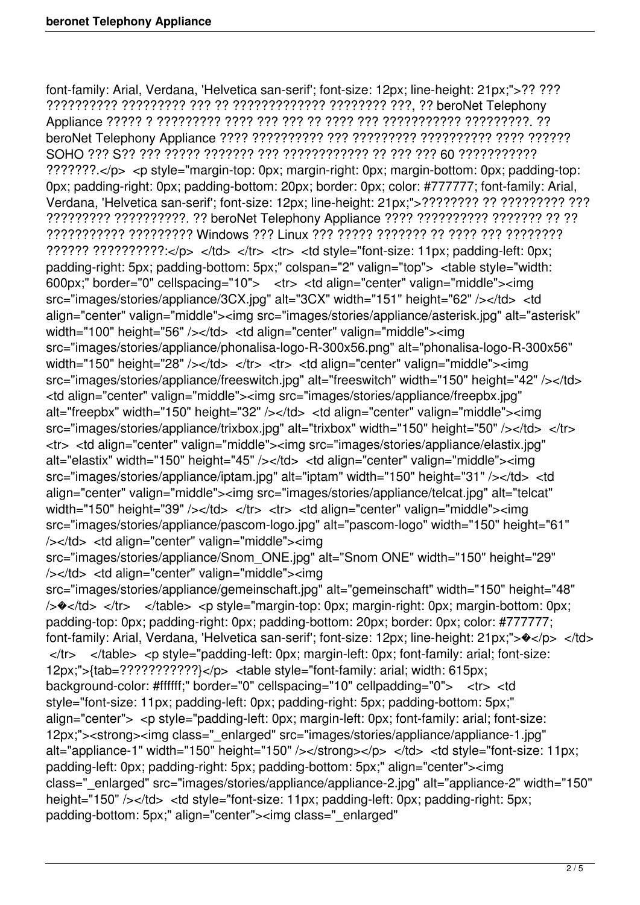font-family: Arial, Verdana, 'Helvetica san-serif'; font-size: 12px; line-height: 21px;">?? ??? ?????????? ????????? ??? ?? ????????????? ???????? ???, ?? beroNet Telephony Appliance ????? ? ????????? ???? ??? ??? ?? ???? ??? ??????????? ?????????. ?? beroNet Telephony Appliance ???? ?????????? ??? ????????? ?????????? ???? ?????? SOHO ??? S?? ??? ????? ??????? ??? ???????????? ?? ??? ??? 60 ??????????? ???????.</p> <p style="margin-top: 0px; margin-right: 0px; margin-bottom: 0px; padding-top: 0px; padding-right: 0px; padding-bottom: 20px; border: 0px; color: #777777; font-family: Arial, Verdana, 'Helvetica san-serif'; font-size: 12px; line-height: 21px;">???????? ?? ????????? ??? ????????? ??????????. ?? beroNet Telephony Appliance ???? ?????????? ??????? ?? ?? ??????????? ????????? Windows ??? Linux ??? ????? ??????? ?? ???? ??? ???????? ?????? ??????????:</p> </td> </tr> <tr> <td style="font-size: 11px; padding-left: 0px; padding-right: 5px; padding-bottom: 5px;" colspan="2" valign="top"> <table style="width: 600px;" border="0" cellspacing="10"> <tr> <td align="center" valign="middle"><img src="images/stories/appliance/3CX.jpg" alt="3CX" width="151" height="62" /></td> <td align="center" valign="middle"><img src="images/stories/appliance/asterisk.jpg" alt="asterisk" width="100" height="56" /></td> <td align="center" valign="middle"><img src="images/stories/appliance/phonalisa-logo-R-300x56.png" alt="phonalisa-logo-R-300x56" width="150" height="28" /></td> </tr> <tr> <td align="center" valign="middle"><img src="images/stories/appliance/freeswitch.jpg" alt="freeswitch" width="150" height="42" /></td> <td align="center" valign="middle"><img src="images/stories/appliance/freepbx.jpg" alt="freepbx" width="150" height="32" /></td> <td align="center" valign="middle"><img src="images/stories/appliance/trixbox.jpg" alt="trixbox" width="150" height="50" /></td> </tr> <tr> <td align="center" valign="middle"><img src="images/stories/appliance/elastix.jpg" alt="elastix" width="150" height="45" /></td> <td align="center" valign="middle"><img src="images/stories/appliance/iptam.jpg" alt="iptam" width="150" height="31" /></td> <td align="center" valign="middle"><img src="images/stories/appliance/telcat.jpg" alt="telcat" width="150" height="39" /></td> </tr> <tr> <td align="center" valign="middle"><img src="images/stories/appliance/pascom-logo.jpg" alt="pascom-logo" width="150" height="61" /></td> <td align="center" valign="middle"><img src="images/stories/appliance/Snom\_ONE.jpg" alt="Snom ONE" width="150" height="29" /></td> <td align="center" valign="middle"><img src="images/stories/appliance/gemeinschaft.jpg" alt="gemeinschaft" width="150" height="48" />�</td> </tr> </table> <p style="margin-top: 0px; margin-right: 0px; margin-bottom: 0px; padding-top: 0px; padding-right: 0px; padding-bottom: 20px; border: 0px; color: #777777; font-family: Arial, Verdana, 'Helvetica san-serif'; font-size: 12px; line-height: 21px;"> $\rightarrow$ </p> </td>  $\langle t \rangle$   $\langle t \rangle$   $\langle t \rangle$   $\langle t \rangle$   $\langle t \rangle$   $\langle t \rangle$   $\langle t \rangle$   $\langle t \rangle$   $\langle t \rangle$   $\langle t \rangle$   $\langle t \rangle$   $\langle t \rangle$   $\langle t \rangle$   $\langle t \rangle$   $\langle t \rangle$   $\langle t \rangle$   $\langle t \rangle$   $\langle t \rangle$   $\langle t \rangle$   $\langle t \rangle$   $\langle t \rangle$   $\langle t \rangle$   $\langle t \rangle$   $\langle t \rangle$   $\langle t \rangle$   $\langle t \rangle$   $\langle t \rangle$   $\langle t \$ 12px;">{tab=???????????}</p> <table style="font-family: arial; width: 615px; background-color: #ffffff;" border="0" cellspacing="10" cellpadding="0"> <tr> <td style="font-size: 11px; padding-left: 0px; padding-right: 5px; padding-bottom: 5px;" align="center"> <p style="padding-left: 0px; margin-left: 0px; font-family: arial; font-size: 12px;"><strong><img class="\_enlarged" src="images/stories/appliance/appliance-1.jpg" alt="appliance-1" width="150" height="150" /></strong></p> $\lt$ /td>  $\lt$ td style="font-size: 11px; padding-left: 0px; padding-right: 5px; padding-bottom: 5px;" align="center"><img class="\_enlarged" src="images/stories/appliance/appliance-2.jpg" alt="appliance-2" width="150" height="150" /></td> <td style="font-size: 11px; padding-left: 0px; padding-right: 5px; padding-bottom: 5px;" align="center"><img class="\_enlarged"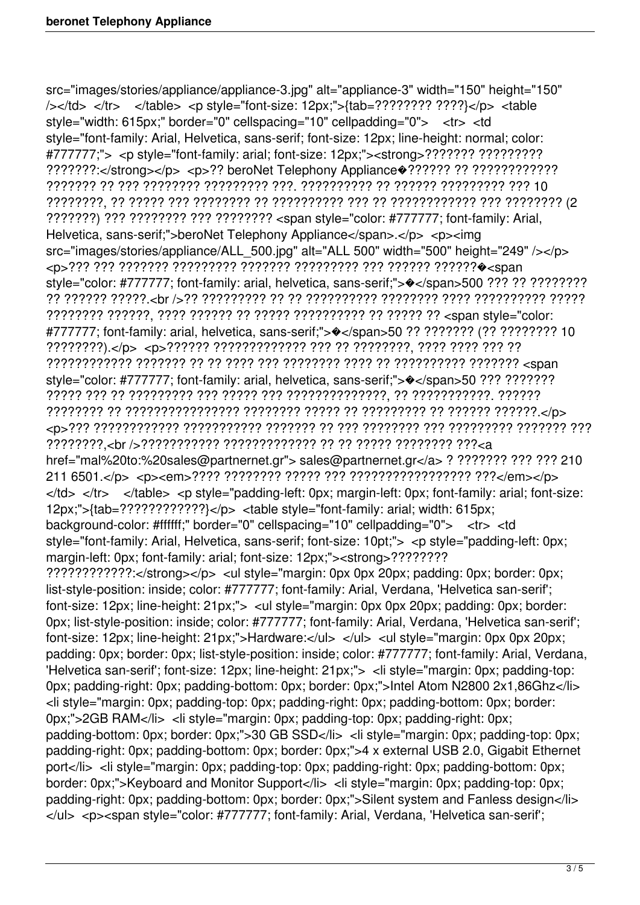src="images/stories/appliance/appliance-3.jpg" alt="appliance-3" width="150" height="150" /></td> </tr> </table> <p style="font-size: 12px;">{tab=???????? ????}</p> <table style="width: 615px;" border="0" cellspacing="10" cellpadding="0"> <tr> <td style="font-family: Arial, Helvetica, sans-serif; font-size: 12px; line-height: normal; color: #777777;"> <p style="font-family: arial; font-size: 12px;"><strong>??????? ????????? ???????:</strong></p> <p>?? beroNet Telephony Appliance�?????? ?? ???????????? ??????? ?? ??? ???????? ????????? ???. ?????????? ?? ?????? ????????? ??? 10 ????????, ?? ????? ??? ???????? ?? ?????????? ??? ?? ???????????? ??? ???????? (2 ???????) ??? ???????? ??? ???????? <span style="color: #777777; font-family: Arial, Helvetica, sans-serif;">beroNet Telephony Appliance</span>.</p></p></p></ src="images/stories/appliance/ALL\_500.jpg" alt="ALL 500" width="500" height="249" /></p> <p>??? ??? ??????? ????????? ??????? ????????? ??? ?????? ??????�<span style="color: #777777; font-family: arial, helvetica, sans-serif;"> $\bullet$ </span>500 ??? ?? ????????? ?? ?????? ?????.<br />?? ????????? ?? ?? ?????????? ???????? ???? ?????????? ????? ???????? ??????, ???? ?????? ?? ????? ?????????? ?? ????? ?? <span style="color: #777777; font-family: arial, helvetica, sans-serif;">�</span>50 ?? ??????? (?? ???????? 10 ????????).</p> <p>?????? ????????????? ??? ?? ????????, ???? ???? ??? ?? ???????????? ??????? ?? ?? ???? ??? ???????? ???? ?? ?????????? ??????? <span style="color: #777777; font-family: arial, helvetica, sans-serif;"> $\diamond$ </span>50 ??? ???????? ????? ??? ?? ????????? ??? ????? ??? ??????????????, ?? ???????????. ?????? ???????? ?? ???????????????? ???????? ????? ?? ????????? ?? ?????? ??????.</p> <p>??? ???????????? ??????????? ??????? ?? ??? ???????? ??? ????????? ??????? ??? ????????,<br />??????????? ????????????? ?? ?? ????? ???????? ???<a href="mal%20to:%20sales@partnernet.gr"> sales@partnernet.gr</a> ? ??????? ??? ??? 210 211 6501.</p> <p><em>???? ???????? ????? ??? ????????????????? ???</em></p>  $\langle t \rangle$ d>  $\langle t \rangle$   $\langle t \rangle$   $\langle t \rangle$   $\langle t \rangle$   $\langle t \rangle$   $\langle t \rangle$   $\langle t \rangle$   $\langle t \rangle$   $\langle t \rangle$   $\langle t \rangle$   $\langle t \rangle$   $\langle t \rangle$   $\langle t \rangle$   $\langle t \rangle$   $\langle t \rangle$   $\langle t \rangle$   $\langle t \rangle$   $\langle t \rangle$   $\langle t \rangle$   $\langle t \rangle$   $\langle t \rangle$   $\langle t \rangle$   $\langle t \rangle$   $\langle t \rangle$   $\langle t \rangle$   $\langle t \rangle$   $\langle$ 12px;">{tab=????????????}</p> <table style="font-family: arial; width: 615px; background-color: #ffffff;" border="0" cellspacing="10" cellpadding="0"> <tr> <td style="font-family: Arial, Helvetica, sans-serif; font-size: 10pt;"> <p style="padding-left: 0px; margin-left: 0px; font-family: arial; font-size: 12px;"><strong>???????? ????????????:</strong></p> <ul style="margin: 0px 0px 20px; padding: 0px; border: 0px; list-style-position: inside; color: #777777; font-family: Arial, Verdana, 'Helvetica san-serif'; font-size: 12px; line-height: 21px;"> <ul style="margin: 0px 0px 20px; padding: 0px; border: 0px; list-style-position: inside; color: #777777; font-family: Arial, Verdana, 'Helvetica san-serif'; font-size: 12px; line-height: 21px;">Hardware:</ul> </ul> <ul style="margin: 0px 0px 20px; padding: 0px; border: 0px; list-style-position: inside; color: #777777; font-family: Arial, Verdana, 'Helvetica san-serif'; font-size: 12px; line-height: 21px;"> <li style="margin: 0px; padding-top: 0px; padding-right: 0px; padding-bottom: 0px; border: 0px;">Intel Atom N2800 2x1,86Ghz</li> <li style="margin: 0px; padding-top: 0px; padding-right: 0px; padding-bottom: 0px; border: 0px;">2GB RAM</li> <li style="margin: 0px; padding-top: 0px; padding-right: 0px; padding-bottom: 0px; border: 0px;">30 GB SSD</li> <li style="margin: 0px; padding-top: 0px; padding-right: 0px; padding-bottom: 0px; border: 0px;">4 x external USB 2.0, Gigabit Ethernet port</li> <li style="margin: 0px; padding-top: 0px; padding-right: 0px; padding-bottom: 0px; border: 0px;">Keyboard and Monitor Support</li> <li style="margin: 0px; padding-top: 0px; padding-right: 0px; padding-bottom: 0px; border: 0px;">Silent system and Fanless design</li> </ul> <p><span style="color: #777777; font-family: Arial, Verdana, 'Helvetica san-serif';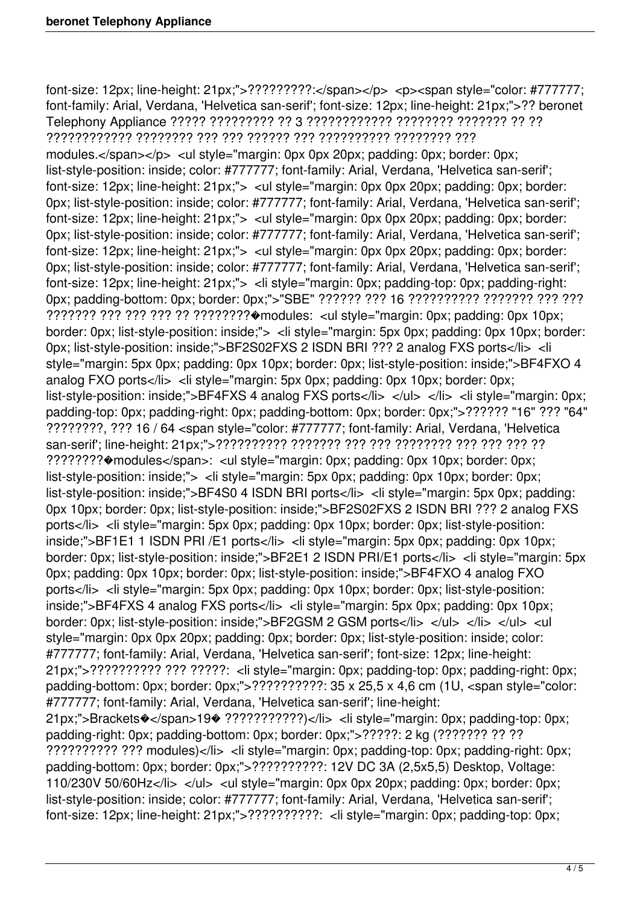font-size: 12px; line-height:  $21px$ ;"> $?????????$ :</span></p> <p><span style="color: #777777; font-family: Arial, Verdana, 'Helvetica san-serif'; font-size: 12px; line-height: 21px;">?? beronet Telephony Appliance ????? ????????? ?? 3 ???????????? ???????? ??????? ?? ?? ???????????? ???????? ??? ??? ?????? ??? ?????????? ???????? ??? modules.</span></p> <ul style="margin: 0px 0px 20px; padding: 0px; border: 0px; list-style-position: inside; color: #777777; font-family: Arial, Verdana, 'Helvetica san-serif'; font-size: 12px; line-height: 21px;"> <ul style="margin: 0px 0px 20px; padding: 0px; border: 0px; list-style-position: inside; color: #777777; font-family: Arial, Verdana, 'Helvetica san-serif'; font-size: 12px; line-height: 21px;"> <ul style="margin: 0px 0px 20px; padding: 0px; border: 0px; list-style-position: inside; color: #777777; font-family: Arial, Verdana, 'Helvetica san-serif'; font-size: 12px; line-height: 21px;"> <ul style="margin: 0px 0px 20px; padding: 0px; border: 0px; list-style-position: inside; color: #777777; font-family: Arial, Verdana, 'Helvetica san-serif'; font-size: 12px; line-height: 21px;"> < li style="margin: 0px; padding-top: 0px; padding-right: 0px; padding-bottom: 0px; border: 0px;">"SBE" ?????? ??? 16 ?????????? ??????? ??? ??? ??????? ??? ??? ??? ?? ????????�modules: <ul style="margin: 0px; padding: 0px 10px; border: 0px; list-style-position: inside;"> < li style="margin: 5px 0px; padding: 0px 10px; border: 0px; list-style-position: inside;">BF2S02FXS 2 ISDN BRI ??? 2 analog FXS ports</li> <li style="margin: 5px 0px; padding: 0px 10px; border: 0px; list-style-position: inside;">BF4FXO 4 analog FXO ports</li> <li style="margin: 5px 0px; padding: 0px 10px; border: 0px; list-style-position: inside;">BF4FXS 4 analog FXS ports</li> </ul> </li> <li style="margin: 0px; padding-top: 0px; padding-right: 0px; padding-bottom: 0px; border: 0px;">?????? "16" ??? "64" ????????, ??? 16 / 64 <span style="color: #777777; font-family: Arial, Verdana, 'Helvetica san-serif'; line-height: 21px;">?????????? ??????? ??? ??? ???????? ??? ??? ??? ?? ????????�modules</span>: <ul style="margin: 0px; padding: 0px 10px; border: 0px; list-style-position: inside;"> <li style="margin: 5px 0px; padding: 0px 10px; border: 0px; list-style-position: inside;">BF4S0 4 ISDN BRI ports</li> <li style="margin: 5px 0px; padding: 0px 10px; border: 0px; list-style-position: inside;">BF2S02FXS 2 ISDN BRI ??? 2 analog FXS ports</li> <li style="margin: 5px 0px; padding: 0px 10px; border: 0px; list-style-position: inside;">BF1E1 1 ISDN PRI /E1 ports</li> <li style="margin: 5px 0px; padding: 0px 10px; border: 0px; list-style-position: inside;">BF2E1 2 ISDN PRI/E1 ports</li> <li style="margin: 5px 0px; padding: 0px 10px; border: 0px; list-style-position: inside;">BF4FXO 4 analog FXO ports</li> <li style="margin: 5px 0px; padding: 0px 10px; border: 0px; list-style-position: inside;">BF4FXS 4 analog FXS ports</li> <li style="margin: 5px 0px; padding: 0px 10px; border: 0px; list-style-position: inside;">BF2GSM 2 GSM ports</li> </ul> </ul> </ul> </ul> </ul> </ul style="margin: 0px 0px 20px; padding: 0px; border: 0px; list-style-position: inside; color: #777777; font-family: Arial, Verdana, 'Helvetica san-serif'; font-size: 12px; line-height: 21px;">?????????? ??? ?????: <li style="margin: 0px; padding-top: 0px; padding-right: 0px; padding-bottom: 0px; border: 0px;">??????????: 35 x 25,5 x 4,6 cm (1U, <span style="color: #777777; font-family: Arial, Verdana, 'Helvetica san-serif'; line-height: 21px;">Brackets�</span>19� ???????????)</li> <li style="margin: 0px; padding-top: 0px; padding-right: 0px; padding-bottom: 0px; border: 0px;">?????: 2 kg (??????? ?? ?? ?????????? ??? modules)</li> <li style="margin: 0px; padding-top: 0px; padding-right: 0px; padding-bottom: 0px; border: 0px;">??????????: 12V DC 3A (2,5x5,5) Desktop, Voltage: 110/230V 50/60Hz</li $>$ </ul $>$ </lib>  $>$ </ul style="margin: 0px 0px 20px; padding: 0px; border: 0px; list-style-position: inside; color: #777777; font-family: Arial, Verdana, 'Helvetica san-serif'; font-size: 12px; line-height: 21px;">???????????: < li style="margin: 0px; padding-top: 0px;